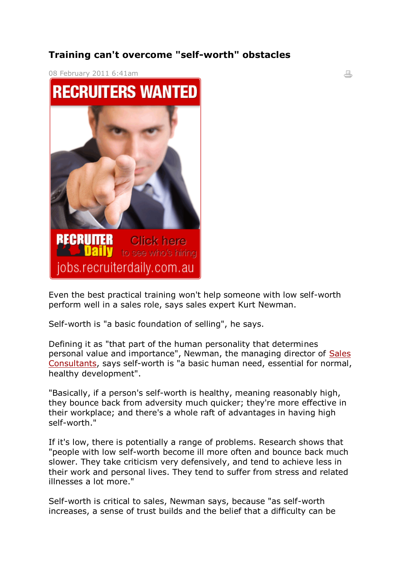## **Training can't overcome "self-worth" obstacles**

 $\frac{1}{2}$ 



Even the best practical training won't help someone with low self-worth perform well in a sales role, says sales expert Kurt Newman.

Self-worth is "a basic foundation of selling", he says.

Defining it as "that part of the human personality that determines personal value and importance", Newman, the managing director of [Sales](http://www.salesconsultants.com.au/)  [Consultants,](http://www.salesconsultants.com.au/) says self-worth is "a basic human need, essential for normal, healthy development".

"Basically, if a person's self-worth is healthy, meaning reasonably high, they bounce back from adversity much quicker; they're more effective in their workplace; and there's a whole raft of advantages in having high self-worth."

If it's low, there is potentially a range of problems. Research shows that "people with low self-worth become ill more often and bounce back much slower. They take criticism very defensively, and tend to achieve less in their work and personal lives. They tend to suffer from stress and related illnesses a lot more."

Self-worth is critical to sales, Newman says, because "as self-worth increases, a sense of trust builds and the belief that a difficulty can be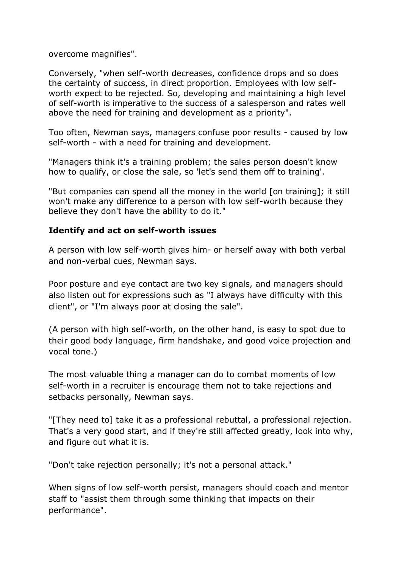overcome magnifies".

Conversely, "when self-worth decreases, confidence drops and so does the certainty of success, in direct proportion. Employees with low selfworth expect to be rejected. So, developing and maintaining a high level of self-worth is imperative to the success of a salesperson and rates well above the need for training and development as a priority".

Too often, Newman says, managers confuse poor results - caused by low self-worth - with a need for training and development.

"Managers think it's a training problem; the sales person doesn't know how to qualify, or close the sale, so 'let's send them off to training'.

"But companies can spend all the money in the world [on training]; it still won't make any difference to a person with low self-worth because they believe they don't have the ability to do it."

## **Identify and act on self-worth issues**

A person with low self-worth gives him- or herself away with both verbal and non-verbal cues, Newman says.

Poor posture and eye contact are two key signals, and managers should also listen out for expressions such as "I always have difficulty with this client", or "I'm always poor at closing the sale".

(A person with high self-worth, on the other hand, is easy to spot due to their good body language, firm handshake, and good voice projection and vocal tone.)

The most valuable thing a manager can do to combat moments of low self-worth in a recruiter is encourage them not to take rejections and setbacks personally, Newman says.

"[They need to] take it as a professional rebuttal, a professional rejection. That's a very good start, and if they're still affected greatly, look into why, and figure out what it is.

"Don't take rejection personally; it's not a personal attack."

When signs of low self-worth persist, managers should coach and mentor staff to "assist them through some thinking that impacts on their performance".